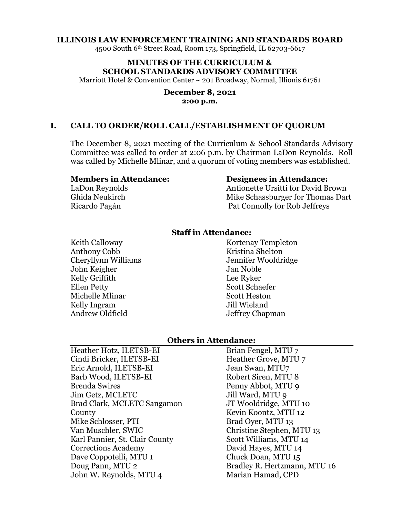#### **ILLINOIS LAW ENFORCEMENT TRAINING AND STANDARDS BOARD**

4500 South 6th Street Road, Room 173, Springfield, IL 62703-6617

# **MINUTES OF THE CURRICULUM & SCHOOL STANDARDS ADVISORY COMMITTEE**

Marriott Hotel & Convention Center ~ 201 Broadway, Normal, Illionis 61761

#### **December 8, 2021 2:00 p.m.**

### **I. CALL TO ORDER/ROLL CALL/ESTABLISHMENT OF QUORUM**

The December 8, 2021 meeting of the Curriculum & School Standards Advisory Committee was called to order at 2:06 p.m. by Chairman LaDon Reynolds. Roll was called by Michelle Mlinar, and a quorum of voting members was established.

#### **Members in Attendance:**

LaDon Reynolds Ghida Neukirch Ricardo Pagán

### **Designees in Attendance:**

Antionette Ursitti for David Brown Mike Schassburger for Thomas Dart Pat Connolly for Rob Jeffreys

## **Staff in Attendance:**

Keith Calloway Anthony Cobb Cheryllynn Williams John Keigher Kelly Griffith Ellen Petty Michelle Mlinar Kelly Ingram Andrew Oldfield

Kortenay Templeton Kristina Shelton Jennifer Wooldridge Jan Noble Lee Ryker Scott Schaefer Scott Heston Jill Wieland Jeffrey Chapman

### **Others in Attendance:**

Heather Hotz, ILETSB-EI Cindi Bricker, ILETSB-EI Eric Arnold, ILETSB-EI Barb Wood, ILETSB-EI Brenda Swires Jim Getz, MCLETC Brad Clark, MCLETC Sangamon County Mike Schlosser, PTI Van Muschler, SWIC Karl Pannier, St. Clair County Corrections Academy Dave Coppotelli, MTU 1 Doug Pann, MTU 2 John W. Reynolds, MTU 4

Brian Fengel, MTU 7 Heather Grove, MTU 7 Jean Swan, MTU7 Robert Siren, MTU 8 Penny Abbot, MTU 9 Jill Ward, MTU 9 JT Wooldridge, MTU 10 Kevin Koontz, MTU 12 Brad Oyer, MTU 13 Christine Stephen, MTU 13 Scott Williams, MTU 14 David Hayes, MTU 14 Chuck Doan, MTU 15 Bradley R. Hertzmann, MTU 16 Marian Hamad, CPD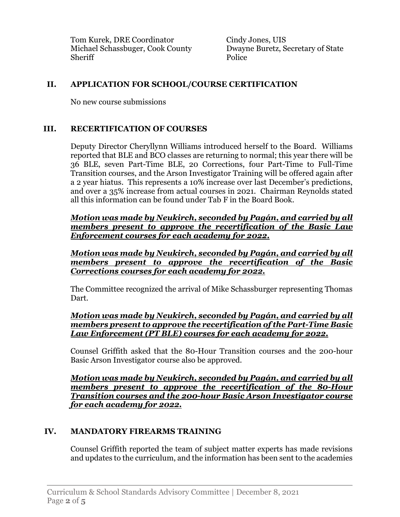Tom Kurek, DRE Coordinator Michael Schassbuger, Cook County Sheriff

Cindy Jones, UIS Dwayne Buretz, Secretary of State Police

# **II. APPLICATION FOR SCHOOL/COURSE CERTIFICATION**

No new course submissions

# **III. RECERTIFICATION OF COURSES**

Deputy Director Cheryllynn Williams introduced herself to the Board. Williams reported that BLE and BCO classes are returning to normal; this year there will be 36 BLE, seven Part-Time BLE, 20 Corrections, four Part-Time to Full-Time Transition courses, and the Arson Investigator Training will be offered again after a 2 year hiatus. This represents a 10% increase over last December's predictions, and over a 35% increase from actual courses in 2021. Chairman Reynolds stated all this information can be found under Tab F in the Board Book.

*Motion was made by Neukirch, seconded by Pagán, and carried by all members present to approve the recertification of the Basic Law Enforcement courses for each academy for 2022.*

*Motion was made by Neukirch, seconded by Pagán, and carried by all members present to approve the recertification of the Basic Corrections courses for each academy for 2022.*

The Committee recognized the arrival of Mike Schassburger representing Thomas Dart.

# *Motion was made by Neukirch, seconded by Pagán, and carried by all members present to approve the recertification of the Part-Time Basic Law Enforcement (PT BLE) courses for each academy for 2022.*

Counsel Griffith asked that the 80-Hour Transition courses and the 200-hour Basic Arson Investigator course also be approved.

*Motion was made by Neukirch, seconded by Pagán, and carried by all members present to approve the recertification of the 80-Hour Transition courses and the 200-hour Basic Arson Investigator course for each academy for 2022.*

# **IV. MANDATORY FIREARMS TRAINING**

Counsel Griffith reported the team of subject matter experts has made revisions and updates to the curriculum, and the information has been sent to the academies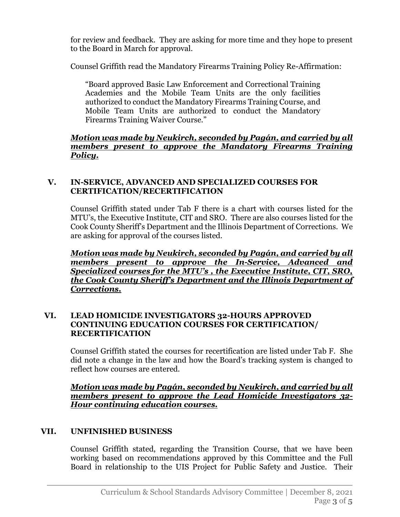for review and feedback. They are asking for more time and they hope to present to the Board in March for approval.

Counsel Griffith read the Mandatory Firearms Training Policy Re-Affirmation:

"Board approved Basic Law Enforcement and Correctional Training Academies and the Mobile Team Units are the only facilities authorized to conduct the Mandatory Firearms Training Course, and Mobile Team Units are authorized to conduct the Mandatory Firearms Training Waiver Course."

## *Motion was made by Neukirch, seconded by Pagán, and carried by all members present to approve the Mandatory Firearms Training Policy.*

# **V. IN-SERVICE, ADVANCED AND SPECIALIZED COURSES FOR CERTIFICATION/RECERTIFICATION**

Counsel Griffith stated under Tab F there is a chart with courses listed for the MTU's, the Executive Institute, CIT and SRO. There are also courses listed for the Cook County Sheriff's Department and the Illinois Department of Corrections. We are asking for approval of the courses listed.

*Motion was made by Neukirch, seconded by Pagán, and carried by all members present to approve the In-Service, Advanced and Specialized courses for the MTU's , the Executive Institute, CIT, SRO, the Cook County Sheriff's Department and the Illinois Department of Corrections.*

# **VI. LEAD HOMICIDE INVESTIGATORS 32-HOURS APPROVED CONTINUING EDUCATION COURSES FOR CERTIFICATION/ RECERTIFICATION**

Counsel Griffith stated the courses for recertification are listed under Tab F. She did note a change in the law and how the Board's tracking system is changed to reflect how courses are entered.

*Motion was made by Pagán, seconded by Neukirch, and carried by all members present to approve the Lead Homicide Investigators 32- Hour continuing education courses.*

# **VII. UNFINISHED BUSINESS**

Counsel Griffith stated, regarding the Transition Course, that we have been working based on recommendations approved by this Committee and the Full Board in relationship to the UIS Project for Public Safety and Justice. Their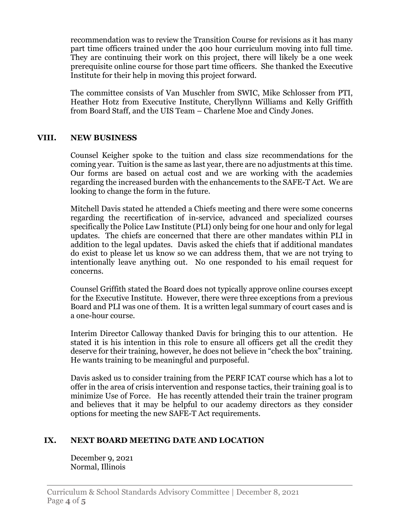recommendation was to review the Transition Course for revisions as it has many part time officers trained under the 400 hour curriculum moving into full time. They are continuing their work on this project, there will likely be a one week prerequisite online course for those part time officers. She thanked the Executive Institute for their help in moving this project forward.

The committee consists of Van Muschler from SWIC, Mike Schlosser from PTI, Heather Hotz from Executive Institute, Cheryllynn Williams and Kelly Griffith from Board Staff, and the UIS Team – Charlene Moe and Cindy Jones.

## **VIII. NEW BUSINESS**

Counsel Keigher spoke to the tuition and class size recommendations for the coming year. Tuition is the same as last year, there are no adjustments at this time. Our forms are based on actual cost and we are working with the academies regarding the increased burden with the enhancements to the SAFE-T Act. We are looking to change the form in the future.

Mitchell Davis stated he attended a Chiefs meeting and there were some concerns regarding the recertification of in-service, advanced and specialized courses specifically the Police Law Institute (PLI) only being for one hour and only for legal updates. The chiefs are concerned that there are other mandates within PLI in addition to the legal updates. Davis asked the chiefs that if additional mandates do exist to please let us know so we can address them, that we are not trying to intentionally leave anything out. No one responded to his email request for concerns.

Counsel Griffith stated the Board does not typically approve online courses except for the Executive Institute. However, there were three exceptions from a previous Board and PLI was one of them. It is a written legal summary of court cases and is a one-hour course.

Interim Director Calloway thanked Davis for bringing this to our attention. He stated it is his intention in this role to ensure all officers get all the credit they deserve for their training, however, he does not believe in "check the box" training. He wants training to be meaningful and purposeful.

Davis asked us to consider training from the PERF ICAT course which has a lot to offer in the area of crisis intervention and response tactics, their training goal is to minimize Use of Force. He has recently attended their train the trainer program and believes that it may be helpful to our academy directors as they consider options for meeting the new SAFE-T Act requirements.

### **IX. NEXT BOARD MEETING DATE AND LOCATION**

December 9, 2021 Normal, Illinois